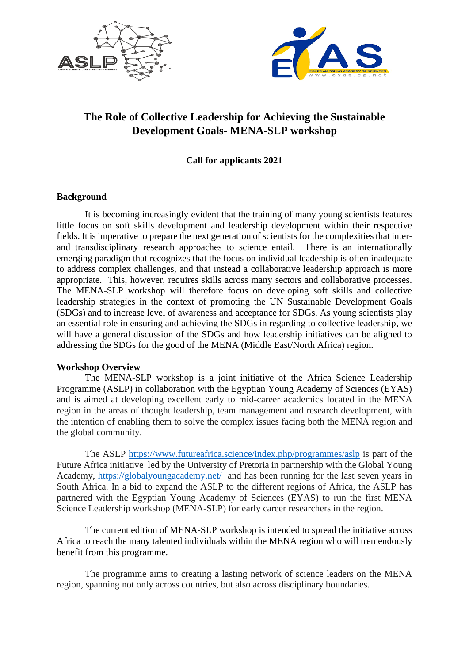



# **The Role of Collective Leadership for Achieving the Sustainable Development Goals- MENA-SLP workshop**

## **Call for applicants 2021**

#### **Background**

It is becoming increasingly evident that the training of many young scientists features little focus on soft skills development and leadership development within their respective fields. It is imperative to prepare the next generation of scientists for the complexities that interand transdisciplinary research approaches to science entail. There is an internationally emerging paradigm that recognizes that the focus on individual leadership is often inadequate to address complex challenges, and that instead a collaborative leadership approach is more appropriate. This, however, requires skills across many sectors and collaborative processes. The MENA-SLP workshop will therefore focus on developing soft skills and collective leadership strategies in the context of promoting the UN Sustainable Development Goals (SDGs) and to increase level of awareness and acceptance for SDGs. As young scientists play an essential role in ensuring and achieving the SDGs in regarding to collective leadership, we will have a general discussion of the SDGs and how leadership initiatives can be aligned to addressing the SDGs for the good of the MENA (Middle East/North Africa) region.

#### **Workshop Overview**

The MENA-SLP workshop is a joint initiative of the Africa Science Leadership Programme (ASLP) in collaboration with the Egyptian Young Academy of Sciences (EYAS) and is aimed at developing excellent early to mid-career academics located in the MENA region in the areas of thought leadership, team management and research development, with the intention of enabling them to solve the complex issues facing both the MENA region and the global community.

The ASLP<https://www.futureafrica.science/index.php/programmes/aslp> is part of the Future Africa initiative led by the University of Pretoria in partnership with the Global Young Academy, <https://globalyoungacademy.net/> and has been running for the last seven years in South Africa. In a bid to expand the ASLP to the different regions of Africa, the ASLP has partnered with the Egyptian Young Academy of Sciences (EYAS) to run the first MENA Science Leadership workshop (MENA-SLP) for early career researchers in the region.

The current edition of MENA-SLP workshop is intended to spread the initiative across Africa to reach the many talented individuals within the MENA region who will tremendously benefit from this programme.

The programme aims to creating a lasting network of science leaders on the MENA region, spanning not only across countries, but also across disciplinary boundaries.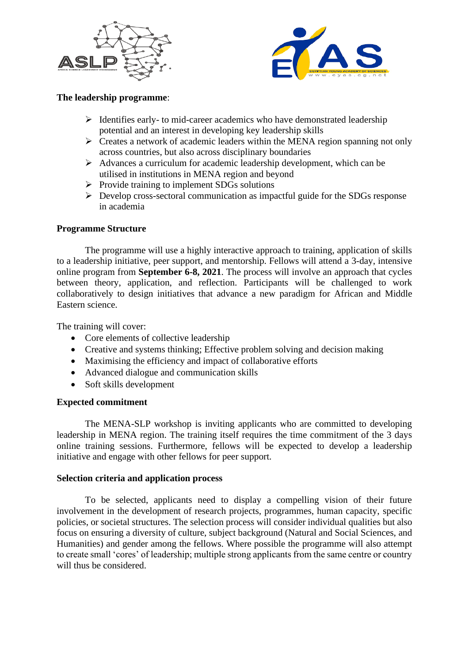



## **The leadership programme**:

- $\triangleright$  Identifies early- to mid-career academics who have demonstrated leadership potential and an interest in developing key leadership skills
- $\triangleright$  Creates a network of academic leaders within the MENA region spanning not only across countries, but also across disciplinary boundaries
- $\triangleright$  Advances a curriculum for academic leadership development, which can be utilised in institutions in MENA region and beyond
- $\triangleright$  Provide training to implement SDGs solutions
- ➢ Develop cross-sectoral communication as impactful guide for the SDGs response in academia

### **Programme Structure**

The programme will use a highly interactive approach to training, application of skills to a leadership initiative, peer support, and mentorship. Fellows will attend a 3-day, intensive online program from **September 6-8, 2021**. The process will involve an approach that cycles between theory, application, and reflection. Participants will be challenged to work collaboratively to design initiatives that advance a new paradigm for African and Middle Eastern science.

The training will cover:

- Core elements of collective leadership
- Creative and systems thinking; Effective problem solving and decision making
- Maximising the efficiency and impact of collaborative efforts
- Advanced dialogue and communication skills
- Soft skills development

#### **Expected commitment**

The MENA-SLP workshop is inviting applicants who are committed to developing leadership in MENA region. The training itself requires the time commitment of the 3 days online training sessions. Furthermore, fellows will be expected to develop a leadership initiative and engage with other fellows for peer support.

#### **Selection criteria and application process**

To be selected, applicants need to display a compelling vision of their future involvement in the development of research projects, programmes, human capacity, specific policies, or societal structures. The selection process will consider individual qualities but also focus on ensuring a diversity of culture, subject background (Natural and Social Sciences, and Humanities) and gender among the fellows. Where possible the programme will also attempt to create small 'cores' of leadership; multiple strong applicants from the same centre or country will thus be considered.